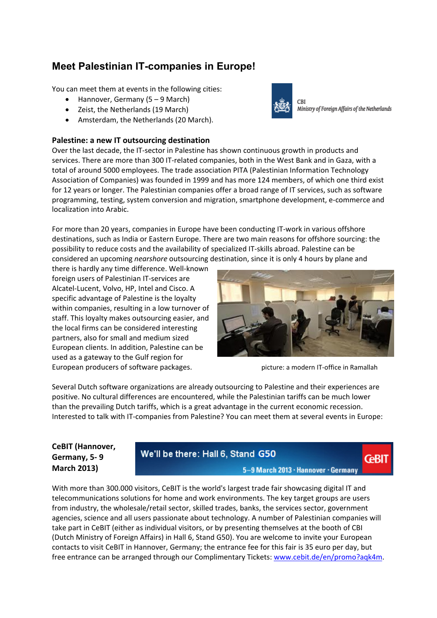# **Meet Palestinian IT-companies in Europe!**

You can meet them at events in the following cities:

- Hannover, Germany (5 9 March)
- Zeist, the Netherlands (19 March)
- Amsterdam, the Netherlands (20 March).

#### **Palestine: a new IT outsourcing destination**

Over the last decade, the IT‐sector in Palestine has shown continuous growth in products and services. There are more than 300 IT‐related companies, both in the West Bank and in Gaza, with a total of around 5000 employees. The trade association PITA (Palestinian Information Technology Association of Companies) was founded in 1999 and has more 124 members, of which one third exist for 12 years or longer. The Palestinian companies offer a broad range of IT services, such as software programming, testing, system conversion and migration, smartphone development, e‐commerce and localization into Arabic.

For more than 20 years, companies in Europe have been conducting IT‐work in various offshore destinations, such as India or Eastern Europe. There are two main reasons for offshore sourcing: the possibility to reduce costs and the availability of specialized IT‐skills abroad. Palestine can be considered an upcoming *nearshore* outsourcing destination, since it is only 4 hours by plane and

there is hardly any time difference. Well‐known foreign users of Palestinian IT‐services are Alcatel‐Lucent, Volvo, HP, Intel and Cisco. A specific advantage of Palestine is the loyalty within companies, resulting in a low turnover of staff. This loyalty makes outsourcing easier, and the local firms can be considered interesting partners, also for small and medium sized European clients. In addition, Palestine can be used as a gateway to the Gulf region for European producers of software packages. **Solution**  $\frac{1}{2}$  picture: a modern IT-office in Ramallah



**GBIT** 

Several Dutch software organizations are already outsourcing to Palestine and their experiences are positive. No cultural differences are encountered, while the Palestinian tariffs can be much lower than the prevailing Dutch tariffs, which is a great advantage in the current economic recession. Interested to talk with IT‐companies from Palestine? You can meet them at several events in Europe:

# **CeBIT (Hannover, Germany, 5‐ 9 March 2013)**

# We'll be there: Hall 6, Stand G50

5-9 March 2013 · Hannover · Germany

With more than 300.000 visitors, CeBIT is the world's largest trade fair showcasing digital IT and telecommunications solutions for home and work environments. The key target groups are users from industry, the wholesale/retail sector, skilled trades, banks, the services sector, government agencies, science and all users passionate about technology. A number of Palestinian companies will take part in CeBIT (either as individual visitors, or by presenting themselves at the booth of CBI (Dutch Ministry of Foreign Affairs) in Hall 6, Stand G50). You are welcome to invite your European contacts to visit CeBIT in Hannover, Germany; the entrance fee for this fair is 35 euro per day, but free entrance can be arranged through our Complimentary Tickets: www.cebit.de/en/promo?aqk4m.



**CBI** Ministry of Foreign Affairs of the Netherlands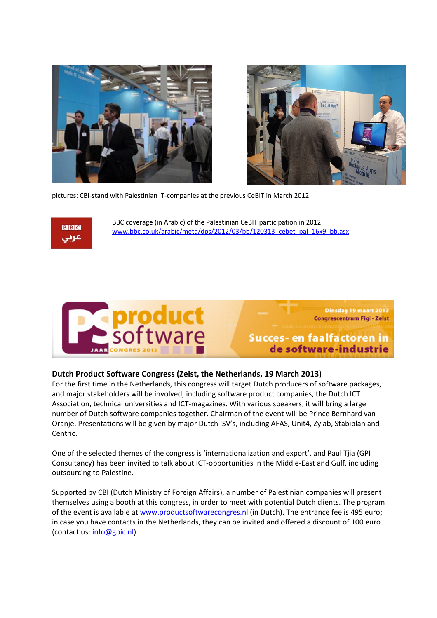



pictures: CBI‐stand with Palestinian IT‐companies at the previous CeBIT in March 2012



BBC coverage (in Arabic) of the Palestinian CeBIT participation in 2012: www.bbc.co.uk/arabic/meta/dps/2012/03/bb/120313\_cebet\_pal\_16x9\_bb.asx



Succes- en faalfactoren in de software-industrie

Dinsdag 19 maart 2013 Congrescentrum Figi - Zeist

#### **Dutch Product Software Congress (Zeist, the Netherlands, 19 March 2013)**

For the first time in the Netherlands, this congress will target Dutch producers of software packages, and major stakeholders will be involved, including software product companies, the Dutch ICT Association, technical universities and ICT‐magazines. With various speakers, it will bring a large number of Dutch software companies together. Chairman of the event will be Prince Bernhard van Oranje. Presentations will be given by major Dutch ISV's, including AFAS, Unit4, Zylab, Stabiplan and Centric.

One of the selected themes of the congress is 'internationalization and export', and Paul Tjia (GPI Consultancy) has been invited to talk about ICT‐opportunities in the Middle‐East and Gulf, including outsourcing to Palestine.

Supported by CBI (Dutch Ministry of Foreign Affairs), a number of Palestinian companies will present themselves using a booth at this congress, in order to meet with potential Dutch clients. The program of the event is available at www.productsoftwarecongres.nl (in Dutch). The entrance fee is 495 euro; in case you have contacts in the Netherlands, they can be invited and offered a discount of 100 euro (contact us: info@gpic.nl).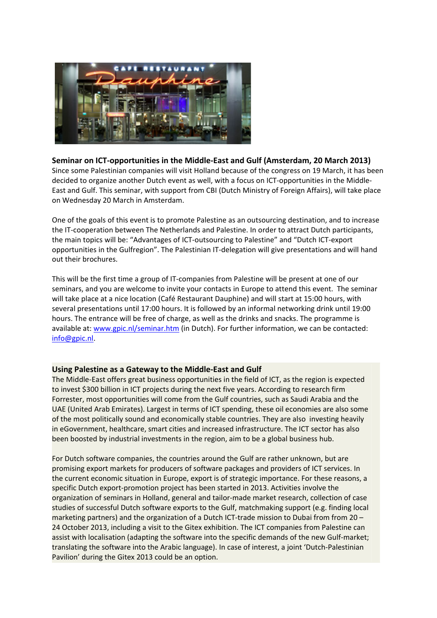

**Seminar on ICT‐opportunities in the Middle‐East and Gulf (Amsterdam, 20 March 2013)** Since some Palestinian companies will visit Holland because of the congress on 19 March, it has been decided to organize another Dutch event as well, with a focus on ICT‐opportunities in the Middle‐ East and Gulf. This seminar, with support from CBI (Dutch Ministry of Foreign Affairs), will take place on Wednesday 20 March in Amsterdam.

One of the goals of this event is to promote Palestine as an outsourcing destination, and to increase the IT‐cooperation between The Netherlands and Palestine. In order to attract Dutch participants, the main topics will be: "Advantages of ICT‐outsourcing to Palestine" and "Dutch ICT‐export opportunities in the Gulfregion". The Palestinian IT‐delegation will give presentations and will hand out their brochures.

This will be the first time a group of IT‐companies from Palestine will be present at one of our seminars, and you are welcome to invite your contacts in Europe to attend this event. The seminar will take place at a nice location (Café Restaurant Dauphine) and will start at 15:00 hours, with several presentations until 17:00 hours. It is followed by an informal networking drink until 19:00 hours. The entrance will be free of charge, as well as the drinks and snacks. The programme is available at: www.gpic.nl/seminar.htm (in Dutch). For further information, we can be contacted: info@gpic.nl.

#### **Using Palestine as a Gateway to the Middle‐East and Gulf**

The Middle‐East offers great business opportunities in the field of ICT, as the region is expected to invest \$300 billion in ICT projects during the next five years. According to research firm Forrester, most opportunities will come from the Gulf countries, such as Saudi Arabia and the UAE (United Arab Emirates). Largest in terms of ICT spending, these oil economies are also some of the most politically sound and economically stable countries. They are also investing heavily in eGovernment, healthcare, smart cities and increased infrastructure. The ICT sector has also been boosted by industrial investments in the region, aim to be a global business hub.

For Dutch software companies, the countries around the Gulf are rather unknown, but are promising export markets for producers of software packages and providers of ICT services. In the current economic situation in Europe, export is of strategic importance. For these reasons, a specific Dutch export‐promotion project has been started in 2013. Activities involve the organization of seminars in Holland, general and tailor‐made market research, collection of case studies of successful Dutch software exports to the Gulf, matchmaking support (e.g. finding local marketing partners) and the organization of a Dutch ICT-trade mission to Dubai from from 20 – 24 October 2013, including a visit to the Gitex exhibition. The ICT companies from Palestine can assist with localisation (adapting the software into the specific demands of the new Gulf‐market; translating the software into the Arabic language). In case of interest, a joint 'Dutch‐Palestinian Pavilion' during the Gitex 2013 could be an option.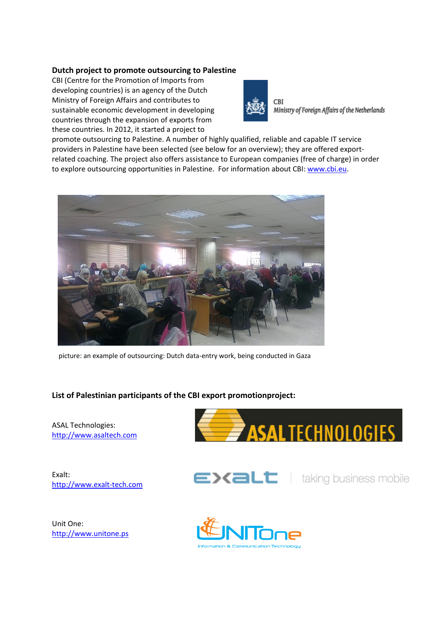#### **Dutch project to promote outsourcing to Palestine**

CBI (Centre for the Promotion of Imports from developing countries) is an agency of the Dutch Ministry of Foreign Affairs and contributes to sustainable economic development in developing countries through the expansion of exports from these countries. In 2012, it started a project to



CBI Ministry of Foreign Affairs of the Netherlands

promote outsourcing to Palestine. A number of highly qualified, reliable and capable IT service providers in Palestine have been selected (see below for an overview); they are offered exportrelated coaching. The project also offers assistance to European companies (free of charge) in order to explore outsourcing opportunities in Palestine. For information about CBI: www.cbi.eu.



picture: an example of outsourcing: Dutch data‐entry work, being conducted in Gaza

## **List of Palestinian participants of the CBI export promotionproject:**

ASAL Technologies: http://www.asaltech.com

Exalt: http://www.exalt‐tech.com





Unit One: http://www.unitone.ps

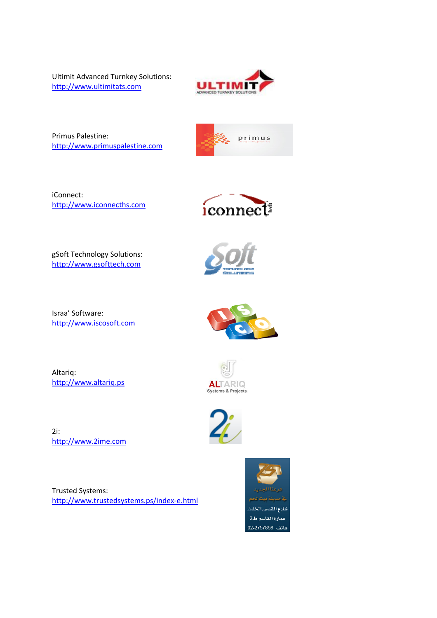Ultimit Advanced Turnkey Solutions: http://www.ultimitats.com



Primus Palestine: http://www.primuspalestine.com



iConnect: http://www.iconnecths.com



gSoft Technology Solutions: http://www.gsofttech.com

Israa' Software: http://www.iscosoft.com

Altariq: http://www.altariq.ps





2i: http://www.2ime.com

Trusted Systems: http://www.trustedsystems.ps/index‐e.html